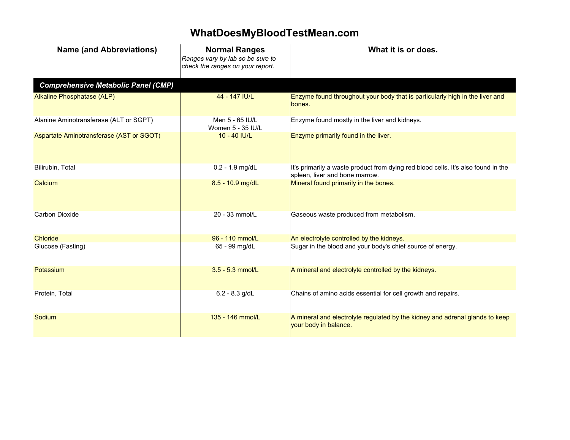## **WhatDoesMyBloodTestMean.com**

| <b>Name (and Abbreviations)</b>            | <b>Normal Ranges</b><br>Ranges vary by lab so be sure to<br>check the ranges on your report. | What it is or does.                                                                                                 |
|--------------------------------------------|----------------------------------------------------------------------------------------------|---------------------------------------------------------------------------------------------------------------------|
| <b>Comprehensive Metabolic Panel (CMP)</b> |                                                                                              |                                                                                                                     |
| Alkaline Phosphatase (ALP)                 | 44 - 147 IU/L                                                                                | Enzyme found throughout your body that is particularly high in the liver and<br>bones.                              |
| Alanine Aminotransferase (ALT or SGPT)     | Men 5 - 65 IU/L<br>Women 5 - 35 IU/L                                                         | Enzyme found mostly in the liver and kidneys.                                                                       |
| Aspartate Aminotransferase (AST or SGOT)   | 10 - 40 IU/L                                                                                 | Enzyme primarily found in the liver.                                                                                |
| Bilirubin, Total                           | $0.2 - 1.9$ mg/dL                                                                            | It's primarily a waste product from dying red blood cells. It's also found in the<br>spleen, liver and bone marrow. |
| Calcium                                    | 8.5 - 10.9 mg/dL                                                                             | Mineral found primarily in the bones.                                                                               |
| Carbon Dioxide                             | 20 - 33 mmol/L                                                                               | Gaseous waste produced from metabolism.                                                                             |
| <b>Chloride</b>                            | 96 - 110 mmol/L                                                                              | An electrolyte controlled by the kidneys.                                                                           |
| Glucose (Fasting)                          | 65 - 99 mg/dL                                                                                | Sugar in the blood and your body's chief source of energy.                                                          |
| Potassium                                  | 3.5 - 5.3 mmol/L                                                                             | A mineral and electrolyte controlled by the kidneys.                                                                |
| Protein, Total                             | $6.2 - 8.3$ g/dL                                                                             | Chains of amino acids essential for cell growth and repairs.                                                        |
| Sodium                                     | 135 - 146 mmol/L                                                                             | A mineral and electrolyte regulated by the kidney and adrenal glands to keep<br>your body in balance.               |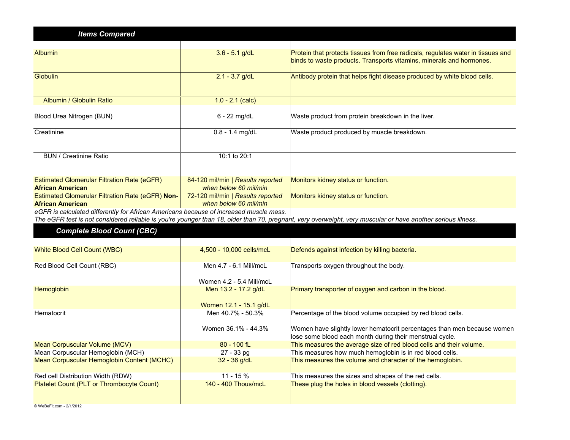| <b>Items Compared</b>                                                                  |                                                            |                                                                                                                                                              |
|----------------------------------------------------------------------------------------|------------------------------------------------------------|--------------------------------------------------------------------------------------------------------------------------------------------------------------|
|                                                                                        |                                                            |                                                                                                                                                              |
| <b>Albumin</b>                                                                         | $3.6 - 5.1$ g/dL                                           | Protein that protects tissues from free radicals, regulates water in tissues and<br>binds to waste products. Transports vitamins, minerals and hormones.     |
| Globulin                                                                               | $2.1 - 3.7$ g/dL                                           | Antibody protein that helps fight disease produced by white blood cells.                                                                                     |
| Albumin / Globulin Ratio                                                               | $1.0 - 2.1$ (calc)                                         |                                                                                                                                                              |
| Blood Urea Nitrogen (BUN)                                                              | $6 - 22$ mg/dL                                             | Waste product from protein breakdown in the liver.                                                                                                           |
| Creatinine                                                                             | $0.8 - 1.4$ mg/dL                                          | Waste product produced by muscle breakdown.                                                                                                                  |
|                                                                                        |                                                            |                                                                                                                                                              |
| <b>BUN / Creatinine Ratio</b>                                                          | 10:1 to 20:1                                               |                                                                                                                                                              |
|                                                                                        |                                                            |                                                                                                                                                              |
| <b>Estimated Glomerular Filtration Rate (eGFR)</b><br><b>African American</b>          | 84-120 mil/min   Results reported<br>when below 60 mil/min | Monitors kidney status or function.                                                                                                                          |
| Estimated Glomerular Filtration Rate (eGFR) Non-                                       | 72-120 mil/min   Results reported                          | Monitors kidney status or function.                                                                                                                          |
| <b>African American</b>                                                                | when below 60 mil/min                                      |                                                                                                                                                              |
| eGFR is calculated differently for African Americans because of increased muscle mass. |                                                            |                                                                                                                                                              |
|                                                                                        |                                                            | The eGFR test is not considered reliable is you're younger than 18, older than 70, pregnant, very overweight, very muscular or have another serious illness. |
| <b>Complete Blood Count (CBC)</b>                                                      |                                                            |                                                                                                                                                              |
|                                                                                        |                                                            |                                                                                                                                                              |
| White Blood Cell Count (WBC)                                                           | 4,500 - 10,000 cells/mcL                                   | Defends against infection by killing bacteria.                                                                                                               |
| Red Blood Cell Count (RBC)                                                             | Men 4.7 - 6.1 Mill/mcL                                     | Transports oxygen throughout the body.                                                                                                                       |
|                                                                                        | Women 4.2 - 5.4 Mill/mcL                                   |                                                                                                                                                              |
| Hemoglobin                                                                             | Men 13.2 - 17.2 g/dL                                       | Primary transporter of oxygen and carbon in the blood.                                                                                                       |
|                                                                                        | Women 12.1 - 15.1 g/dL                                     |                                                                                                                                                              |
| Hematocrit                                                                             | Men 40.7% - 50.3%                                          | Percentage of the blood volume occupied by red blood cells.                                                                                                  |
|                                                                                        | Women 36.1% - 44.3%                                        | Women have slightly lower hematocrit percentages than men because women<br>lose some blood each month during their menstrual cycle.                          |
| Mean Corpuscular Volume (MCV)                                                          | 80 - 100 fL                                                | This measures the average size of red blood cells and their volume.                                                                                          |
| Mean Corpuscular Hemoglobin (MCH)                                                      | 27 - 33 pg                                                 | This measures how much hemoglobin is in red blood cells.                                                                                                     |
| Mean Corpuscular Hemoglobin Content (MCHC)                                             | 32 - 36 g/dL                                               | This measures the volume and character of the hemoglobin.                                                                                                    |
| Red cell Distribution Width (RDW)                                                      | 11 - 15 %                                                  | This measures the sizes and shapes of the red cells.                                                                                                         |
| Platelet Count (PLT or Thrombocyte Count)                                              | 140 - 400 Thous/mcL                                        | These plug the holes in blood vessels (clotting).                                                                                                            |
|                                                                                        |                                                            |                                                                                                                                                              |
| © WeBeFit.com - 2/1/2012                                                               |                                                            |                                                                                                                                                              |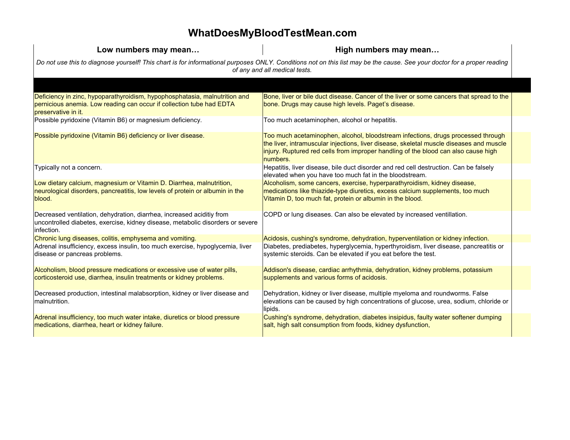## **WhatDoesMyBloodTestMean.com**

| Low numbers may mean                                                                                                                                                                                     | High numbers may mean                                                                                                                                                                                                                                                         |  |  |
|----------------------------------------------------------------------------------------------------------------------------------------------------------------------------------------------------------|-------------------------------------------------------------------------------------------------------------------------------------------------------------------------------------------------------------------------------------------------------------------------------|--|--|
| Do not use this to diagnose yourself! This chart is for informational purposes ONLY. Conditions not on this list may be the cause. See your doctor for a proper reading<br>of any and all medical tests. |                                                                                                                                                                                                                                                                               |  |  |
|                                                                                                                                                                                                          |                                                                                                                                                                                                                                                                               |  |  |
| Deficiency in zinc, hypoparathyroidism, hypophosphatasia, malnutrition and<br>pernicious anemia. Low reading can occur if collection tube had EDTA<br>preservative in it.                                | Bone, liver or bile duct disease. Cancer of the liver or some cancers that spread to the<br>bone. Drugs may cause high levels. Paget's disease.                                                                                                                               |  |  |
| Possible pyridoxine (Vitamin B6) or magnesium deficiency.                                                                                                                                                | Too much acetaminophen, alcohol or hepatitis.                                                                                                                                                                                                                                 |  |  |
| Possible pyridoxine (Vitamin B6) deficiency or liver disease.                                                                                                                                            | Too much acetaminophen, alcohol, bloodstream infections, drugs processed through<br>the liver, intramuscular injections, liver disease, skeletal muscle diseases and muscle<br>injury. Ruptured red cells from improper handling of the blood can also cause high<br>numbers. |  |  |
| Typically not a concern.                                                                                                                                                                                 | Hepatitis, liver disease, bile duct disorder and red cell destruction. Can be falsely<br>elevated when you have too much fat in the bloodstream.                                                                                                                              |  |  |
| Low dietary calcium, magnesium or Vitamin D. Diarrhea, malnutrition,<br>neurological disorders, pancreatitis, low levels of protein or albumin in the<br>blood.                                          | Alcoholism, some cancers, exercise, hyperparathyroidism, kidney disease,<br>medications like thiazide-type diuretics, excess calcium supplements, too much<br>Vitamin D, too much fat, protein or albumin in the blood.                                                       |  |  |
| Decreased ventilation, dehydration, diarrhea, increased aciditiy from<br>uncontrolled diabetes, exercise, kidney disease, metabolic disorders or severe<br>infection.                                    | COPD or lung diseases. Can also be elevated by increased ventillation.                                                                                                                                                                                                        |  |  |
| Chronic lung diseases, colitis, emphysema and vomiting.                                                                                                                                                  | Acidosis, cushing's syndrome, dehydration, hyperventilation or kidney infection.                                                                                                                                                                                              |  |  |
| Adrenal insufficiency, excess insulin, too much exercise, hypoglycemia, liver<br>disease or pancreas problems.                                                                                           | Diabetes, prediabetes, hyperglycemia, hyperthyroidism, liver disease, pancreatitis or<br>systemic steroids. Can be elevated if you eat before the test.                                                                                                                       |  |  |
| Alcoholism, blood pressure medications or excessive use of water pills,<br>corticosteroid use, diarrhea, insulin treatments or kidney problems.                                                          | Addison's disease, cardiac arrhythmia, dehydration, kidney problems, potassium<br>supplements and various forms of acidosis.                                                                                                                                                  |  |  |
| Decreased production, intestinal malabsorption, kidney or liver disease and<br>malnutrition.                                                                                                             | Dehydration, kidney or liver disease, multiple myeloma and roundworms. False<br>elevations can be caused by high concentrations of glucose, urea, sodium, chloride or<br>lipids.                                                                                              |  |  |
| Adrenal insufficiency, too much water intake, diuretics or blood pressure<br>medications, diarrhea, heart or kidney failure.                                                                             | Cushing's syndrome, dehydration, diabetes insipidus, faulty water softener dumping<br>salt, high salt consumption from foods, kidney dysfunction,                                                                                                                             |  |  |